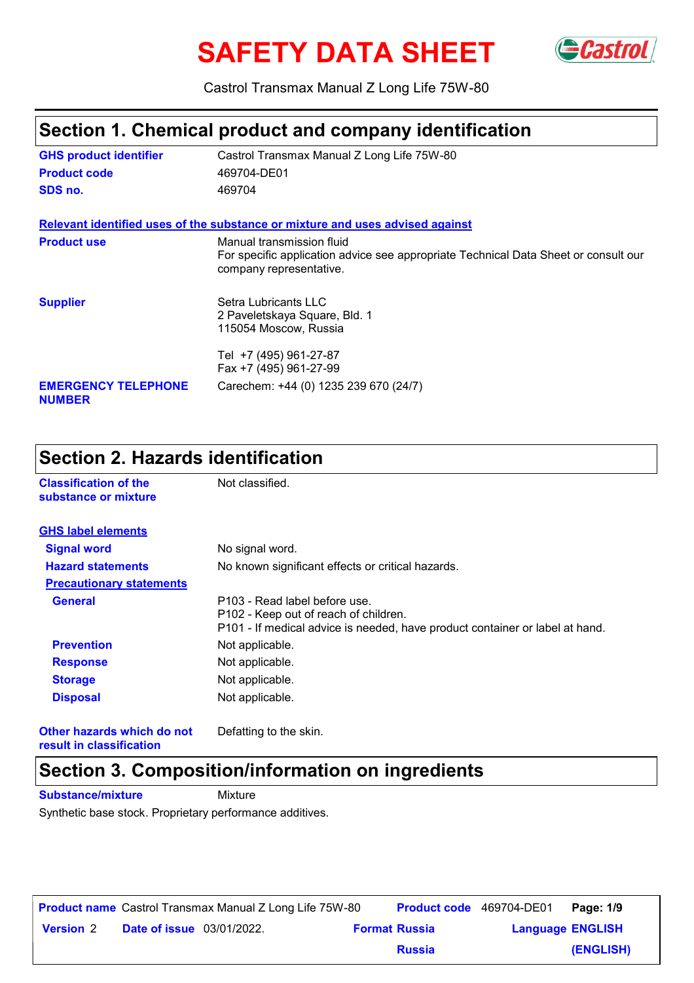# **SAFETY DATA SHEET** GCastrol



Castrol Transmax Manual Z Long Life 75W-80

#### **Section 1. Chemical product and company identification**

| <b>GHS product identifier</b>               | Castrol Transmax Manual Z Long Life 75W-80                                                                                                  |
|---------------------------------------------|---------------------------------------------------------------------------------------------------------------------------------------------|
| <b>Product code</b>                         | 469704-DE01                                                                                                                                 |
| SDS no.                                     | 469704                                                                                                                                      |
|                                             | Relevant identified uses of the substance or mixture and uses advised against                                                               |
| <b>Product use</b>                          | Manual transmission fluid<br>For specific application advice see appropriate Technical Data Sheet or consult our<br>company representative. |
| <b>Supplier</b>                             | Setra Lubricants LLC<br>2 Paveletskaya Square, Bld. 1<br>115054 Moscow, Russia                                                              |
|                                             | Tel +7 (495) 961-27-87<br>Fax +7 (495) 961-27-99                                                                                            |
| <b>EMERGENCY TELEPHONE</b><br><b>NUMBER</b> | Carechem: +44 (0) 1235 239 670 (24/7)                                                                                                       |

### **Section 2. Hazards identification**

| <b>Classification of the</b><br>substance or mixture | Not classified.                                                                                                                                        |
|------------------------------------------------------|--------------------------------------------------------------------------------------------------------------------------------------------------------|
| <b>GHS label elements</b>                            |                                                                                                                                                        |
| <b>Signal word</b>                                   | No signal word.                                                                                                                                        |
| <b>Hazard statements</b>                             | No known significant effects or critical hazards.                                                                                                      |
| <b>Precautionary statements</b>                      |                                                                                                                                                        |
| <b>General</b>                                       | P103 - Read label before use.<br>P102 - Keep out of reach of children.<br>P101 - If medical advice is needed, have product container or label at hand. |
| <b>Prevention</b>                                    | Not applicable.                                                                                                                                        |
| <b>Response</b>                                      | Not applicable.                                                                                                                                        |
| <b>Storage</b>                                       | Not applicable.                                                                                                                                        |
| <b>Disposal</b>                                      | Not applicable.                                                                                                                                        |
| Other hazards which do not                           | Defatting to the skin.                                                                                                                                 |

**result in classification**

### **Section 3. Composition/information on ingredients**

**Substance/mixture** Mixture

Synthetic base stock. Proprietary performance additives.

|                  |                                  | <b>Product name</b> Castrol Transmax Manual Z Long Life 75W-80 | <b>Product code</b> 469704-DE01 |                         | Page: 1/9 |
|------------------|----------------------------------|----------------------------------------------------------------|---------------------------------|-------------------------|-----------|
| <b>Version 2</b> | <b>Date of issue</b> 03/01/2022. |                                                                | <b>Format Russia</b>            | <b>Language ENGLISH</b> |           |
|                  |                                  |                                                                | <b>Russia</b>                   |                         | (ENGLISH) |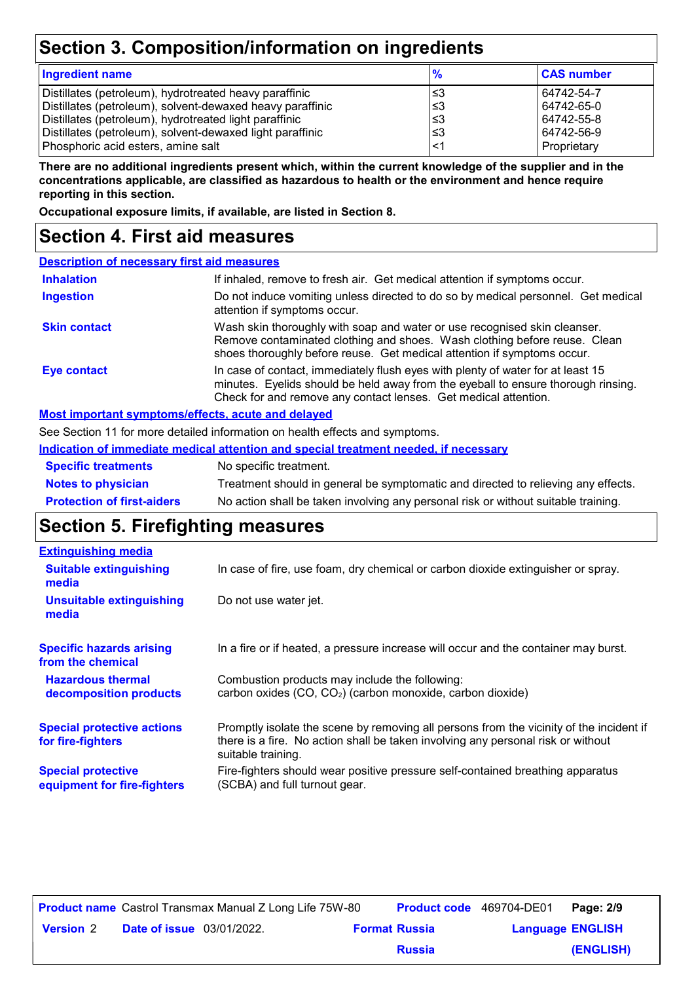## **Section 3. Composition/information on ingredients**

| <b>Ingredient name</b>                                                                                                                                                                                                                     | $\frac{9}{6}$           | <b>CAS number</b>                                    |
|--------------------------------------------------------------------------------------------------------------------------------------------------------------------------------------------------------------------------------------------|-------------------------|------------------------------------------------------|
| Distillates (petroleum), hydrotreated heavy paraffinic<br>Distillates (petroleum), solvent-dewaxed heavy paraffinic<br>Distillates (petroleum), hydrotreated light paraffinic<br>Distillates (petroleum), solvent-dewaxed light paraffinic | צ≥<br>⊦≤3<br>՝≤3<br>.≤3 | 64742-54-7<br>64742-65-0<br>64742-55-8<br>64742-56-9 |
| Phosphoric acid esters, amine salt                                                                                                                                                                                                         | ≤1                      | Proprietary                                          |

**There are no additional ingredients present which, within the current knowledge of the supplier and in the concentrations applicable, are classified as hazardous to health or the environment and hence require reporting in this section.**

**Occupational exposure limits, if available, are listed in Section 8.**

#### **Section 4. First aid measures**

| <b>Description of necessary first aid measures</b> |                                                                                                                                                                                                                                         |
|----------------------------------------------------|-----------------------------------------------------------------------------------------------------------------------------------------------------------------------------------------------------------------------------------------|
| <b>Inhalation</b>                                  | If inhaled, remove to fresh air. Get medical attention if symptoms occur.                                                                                                                                                               |
| <b>Ingestion</b>                                   | Do not induce vomiting unless directed to do so by medical personnel. Get medical<br>attention if symptoms occur.                                                                                                                       |
| <b>Skin contact</b>                                | Wash skin thoroughly with soap and water or use recognised skin cleanser.<br>Remove contaminated clothing and shoes. Wash clothing before reuse. Clean<br>shoes thoroughly before reuse. Get medical attention if symptoms occur.       |
| Eye contact                                        | In case of contact, immediately flush eyes with plenty of water for at least 15<br>minutes. Eyelids should be held away from the eyeball to ensure thorough rinsing.<br>Check for and remove any contact lenses. Get medical attention. |

#### **Most important symptoms/effects, acute and delayed**

See Section 11 for more detailed information on health effects and symptoms.

|                                   | Indication of immediate medical attention and special treatment needed, if necessary |
|-----------------------------------|--------------------------------------------------------------------------------------|
| <b>Specific treatments</b>        | No specific treatment.                                                               |
| <b>Notes to physician</b>         | Treatment should in general be symptomatic and directed to relieving any effects.    |
| <b>Protection of first-aiders</b> | No action shall be taken involving any personal risk or without suitable training.   |

#### **Section 5. Firefighting measures**

| <b>Extinguishing media</b>                               |                                                                                                                                                                                                   |
|----------------------------------------------------------|---------------------------------------------------------------------------------------------------------------------------------------------------------------------------------------------------|
| <b>Suitable extinguishing</b><br>media                   | In case of fire, use foam, dry chemical or carbon dioxide extinguisher or spray.                                                                                                                  |
| <b>Unsuitable extinguishing</b><br>media                 | Do not use water jet.                                                                                                                                                                             |
| <b>Specific hazards arising</b><br>from the chemical     | In a fire or if heated, a pressure increase will occur and the container may burst.                                                                                                               |
| <b>Hazardous thermal</b><br>decomposition products       | Combustion products may include the following:<br>carbon oxides (CO, CO <sub>2</sub> ) (carbon monoxide, carbon dioxide)                                                                          |
| <b>Special protective actions</b><br>for fire-fighters   | Promptly isolate the scene by removing all persons from the vicinity of the incident if<br>there is a fire. No action shall be taken involving any personal risk or without<br>suitable training. |
| <b>Special protective</b><br>equipment for fire-fighters | Fire-fighters should wear positive pressure self-contained breathing apparatus<br>(SCBA) and full turnout gear.                                                                                   |

|                  |                                  | <b>Product name</b> Castrol Transmax Manual Z Long Life 75W-80 |                      | <b>Product code</b> 469704-DE01 |                         | Page: 2/9 |
|------------------|----------------------------------|----------------------------------------------------------------|----------------------|---------------------------------|-------------------------|-----------|
| <b>Version 2</b> | <b>Date of issue</b> 03/01/2022. |                                                                | <b>Format Russia</b> |                                 | <b>Language ENGLISH</b> |           |
|                  |                                  |                                                                |                      | <b>Russia</b>                   |                         | (ENGLISH) |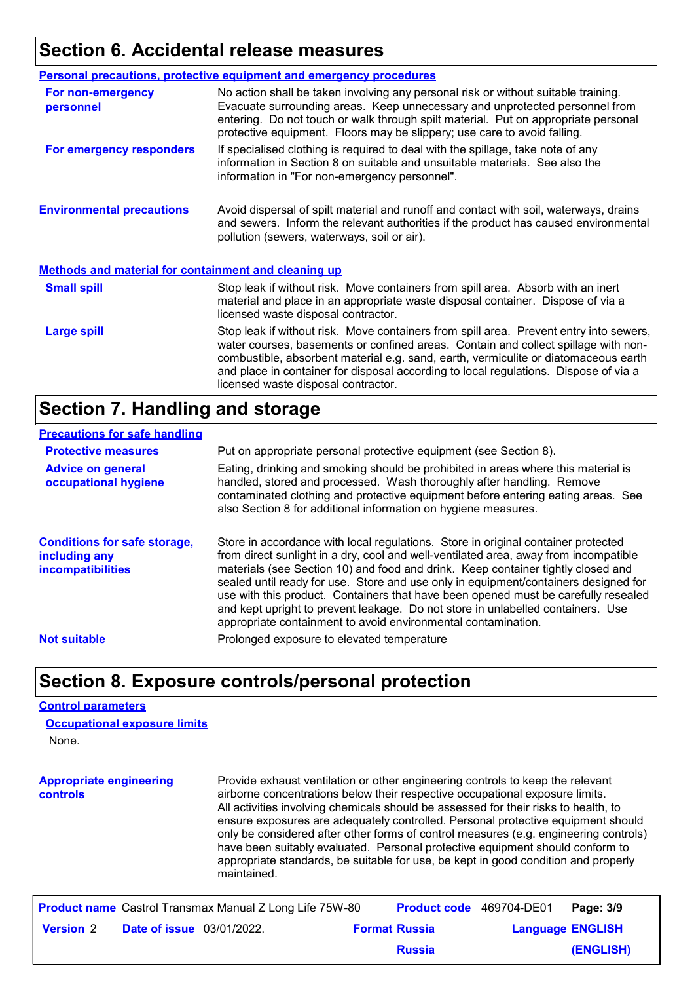## **Section 6. Accidental release measures**

|                                                             | <b>Personal precautions, protective equipment and emergency procedures</b>                                                                                                                                                                                                                                                                                                                         |
|-------------------------------------------------------------|----------------------------------------------------------------------------------------------------------------------------------------------------------------------------------------------------------------------------------------------------------------------------------------------------------------------------------------------------------------------------------------------------|
| For non-emergency<br>personnel                              | No action shall be taken involving any personal risk or without suitable training.<br>Evacuate surrounding areas. Keep unnecessary and unprotected personnel from<br>entering. Do not touch or walk through spilt material. Put on appropriate personal<br>protective equipment. Floors may be slippery; use care to avoid falling.                                                                |
| For emergency responders                                    | If specialised clothing is required to deal with the spillage, take note of any<br>information in Section 8 on suitable and unsuitable materials. See also the<br>information in "For non-emergency personnel".                                                                                                                                                                                    |
| <b>Environmental precautions</b>                            | Avoid dispersal of spilt material and runoff and contact with soil, waterways, drains<br>and sewers. Inform the relevant authorities if the product has caused environmental<br>pollution (sewers, waterways, soil or air).                                                                                                                                                                        |
| <b>Methods and material for containment and cleaning up</b> |                                                                                                                                                                                                                                                                                                                                                                                                    |
| <b>Small spill</b>                                          | Stop leak if without risk. Move containers from spill area. Absorb with an inert<br>material and place in an appropriate waste disposal container. Dispose of via a<br>licensed waste disposal contractor.                                                                                                                                                                                         |
| <b>Large spill</b>                                          | Stop leak if without risk. Move containers from spill area. Prevent entry into sewers,<br>water courses, basements or confined areas. Contain and collect spillage with non-<br>combustible, absorbent material e.g. sand, earth, vermiculite or diatomaceous earth<br>and place in container for disposal according to local regulations. Dispose of via a<br>licensed waste disposal contractor. |

### **Section 7. Handling and storage**

#### **Precautions for safe handling**

| <b>Protective measures</b>                                                       | Put on appropriate personal protective equipment (see Section 8).                                                                                                                                                                                                                                                                                                                                                                                                                                                                                                                              |
|----------------------------------------------------------------------------------|------------------------------------------------------------------------------------------------------------------------------------------------------------------------------------------------------------------------------------------------------------------------------------------------------------------------------------------------------------------------------------------------------------------------------------------------------------------------------------------------------------------------------------------------------------------------------------------------|
| <b>Advice on general</b><br>occupational hygiene                                 | Eating, drinking and smoking should be prohibited in areas where this material is<br>handled, stored and processed. Wash thoroughly after handling. Remove<br>contaminated clothing and protective equipment before entering eating areas. See<br>also Section 8 for additional information on hygiene measures.                                                                                                                                                                                                                                                                               |
| <b>Conditions for safe storage,</b><br>including any<br><b>incompatibilities</b> | Store in accordance with local regulations. Store in original container protected<br>from direct sunlight in a dry, cool and well-ventilated area, away from incompatible<br>materials (see Section 10) and food and drink. Keep container tightly closed and<br>sealed until ready for use. Store and use only in equipment/containers designed for<br>use with this product. Containers that have been opened must be carefully resealed<br>and kept upright to prevent leakage. Do not store in unlabelled containers. Use<br>appropriate containment to avoid environmental contamination. |
| <b>Not suitable</b>                                                              | Prolonged exposure to elevated temperature                                                                                                                                                                                                                                                                                                                                                                                                                                                                                                                                                     |
|                                                                                  |                                                                                                                                                                                                                                                                                                                                                                                                                                                                                                                                                                                                |

### **Section 8. Exposure controls/personal protection**

#### **Control parameters**

| <b>Occupational exposure limits</b> |  |
|-------------------------------------|--|
| None.                               |  |

| <b>Appropriate engineering</b><br><b>controls</b> | Provide exhaust ventilation or other engineering controls to keep the relevant<br>airborne concentrations below their respective occupational exposure limits.<br>All activities involving chemicals should be assessed for their risks to health, to<br>ensure exposures are adequately controlled. Personal protective equipment should<br>only be considered after other forms of control measures (e.g. engineering controls)<br>have been suitably evaluated. Personal protective equipment should conform to<br>appropriate standards, be suitable for use, be kept in good condition and properly<br>maintained. |
|---------------------------------------------------|-------------------------------------------------------------------------------------------------------------------------------------------------------------------------------------------------------------------------------------------------------------------------------------------------------------------------------------------------------------------------------------------------------------------------------------------------------------------------------------------------------------------------------------------------------------------------------------------------------------------------|
|                                                   |                                                                                                                                                                                                                                                                                                                                                                                                                                                                                                                                                                                                                         |

|                  |                                  | <b>Product name</b> Castrol Transmax Manual Z Long Life 75W-80 |                      | <b>Product code</b> 469704-DE01 |                         | Page: 3/9 |
|------------------|----------------------------------|----------------------------------------------------------------|----------------------|---------------------------------|-------------------------|-----------|
| <b>Version 2</b> | <b>Date of issue</b> 03/01/2022. |                                                                | <b>Format Russia</b> |                                 | <b>Language ENGLISH</b> |           |
|                  |                                  |                                                                |                      | <b>Russia</b>                   |                         | (ENGLISH) |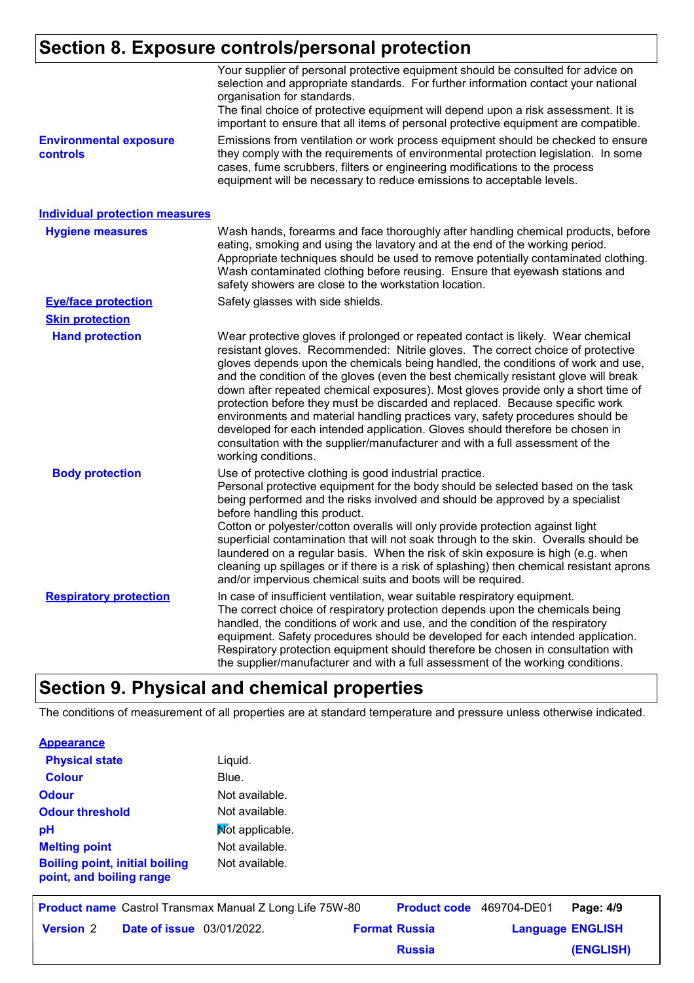### **Section 8. Exposure controls/personal protection**

|                                                  | Your supplier of personal protective equipment should be consulted for advice on<br>selection and appropriate standards. For further information contact your national<br>organisation for standards.<br>The final choice of protective equipment will depend upon a risk assessment. It is<br>important to ensure that all items of personal protective equipment are compatible.                                                                                                                                                                                                                                                                                                                                                                                                              |
|--------------------------------------------------|-------------------------------------------------------------------------------------------------------------------------------------------------------------------------------------------------------------------------------------------------------------------------------------------------------------------------------------------------------------------------------------------------------------------------------------------------------------------------------------------------------------------------------------------------------------------------------------------------------------------------------------------------------------------------------------------------------------------------------------------------------------------------------------------------|
| <b>Environmental exposure</b><br><b>controls</b> | Emissions from ventilation or work process equipment should be checked to ensure<br>they comply with the requirements of environmental protection legislation. In some<br>cases, fume scrubbers, filters or engineering modifications to the process<br>equipment will be necessary to reduce emissions to acceptable levels.                                                                                                                                                                                                                                                                                                                                                                                                                                                                   |
| <b>Individual protection measures</b>            |                                                                                                                                                                                                                                                                                                                                                                                                                                                                                                                                                                                                                                                                                                                                                                                                 |
| <b>Hygiene measures</b>                          | Wash hands, forearms and face thoroughly after handling chemical products, before<br>eating, smoking and using the lavatory and at the end of the working period.<br>Appropriate techniques should be used to remove potentially contaminated clothing.<br>Wash contaminated clothing before reusing. Ensure that eyewash stations and<br>safety showers are close to the workstation location.                                                                                                                                                                                                                                                                                                                                                                                                 |
| <b>Eye/face protection</b>                       | Safety glasses with side shields.                                                                                                                                                                                                                                                                                                                                                                                                                                                                                                                                                                                                                                                                                                                                                               |
| <b>Skin protection</b>                           |                                                                                                                                                                                                                                                                                                                                                                                                                                                                                                                                                                                                                                                                                                                                                                                                 |
| <b>Hand protection</b>                           | Wear protective gloves if prolonged or repeated contact is likely. Wear chemical<br>resistant gloves. Recommended: Nitrile gloves. The correct choice of protective<br>gloves depends upon the chemicals being handled, the conditions of work and use,<br>and the condition of the gloves (even the best chemically resistant glove will break<br>down after repeated chemical exposures). Most gloves provide only a short time of<br>protection before they must be discarded and replaced. Because specific work<br>environments and material handling practices vary, safety procedures should be<br>developed for each intended application. Gloves should therefore be chosen in<br>consultation with the supplier/manufacturer and with a full assessment of the<br>working conditions. |
| <b>Body protection</b>                           | Use of protective clothing is good industrial practice.<br>Personal protective equipment for the body should be selected based on the task<br>being performed and the risks involved and should be approved by a specialist<br>before handling this product.<br>Cotton or polyester/cotton overalls will only provide protection against light<br>superficial contamination that will not soak through to the skin. Overalls should be<br>laundered on a regular basis. When the risk of skin exposure is high (e.g. when<br>cleaning up spillages or if there is a risk of splashing) then chemical resistant aprons<br>and/or impervious chemical suits and boots will be required.                                                                                                           |
| <b>Respiratory protection</b>                    | In case of insufficient ventilation, wear suitable respiratory equipment.<br>The correct choice of respiratory protection depends upon the chemicals being<br>handled, the conditions of work and use, and the condition of the respiratory<br>equipment. Safety procedures should be developed for each intended application.<br>Respiratory protection equipment should therefore be chosen in consultation with<br>the supplier/manufacturer and with a full assessment of the working conditions.                                                                                                                                                                                                                                                                                           |

### **Section 9. Physical and chemical properties**

The conditions of measurement of all properties are at standard temperature and pressure unless otherwise indicated.

**Russia**

**(ENGLISH)**

| <b>Appearance</b>                                                 |                 |                      |             |                         |
|-------------------------------------------------------------------|-----------------|----------------------|-------------|-------------------------|
| <b>Physical state</b>                                             | Liquid.         |                      |             |                         |
| <b>Colour</b>                                                     | Blue.           |                      |             |                         |
| <b>Odour</b>                                                      | Not available.  |                      |             |                         |
| <b>Odour threshold</b>                                            | Not available.  |                      |             |                         |
| рH                                                                | Not applicable. |                      |             |                         |
| <b>Melting point</b>                                              | Not available.  |                      |             |                         |
| <b>Boiling point, initial boiling</b><br>point, and boiling range | Not available.  |                      |             |                         |
| <b>Product name</b> Castrol Transmax Manual Z Long Life 75W-80    |                 | <b>Product code</b>  | 469704-DE01 | Page: 4/9               |
| <b>Version 2</b><br><b>Date of issue</b> 03/01/2022.              |                 | <b>Format Russia</b> |             | <b>Language ENGLISH</b> |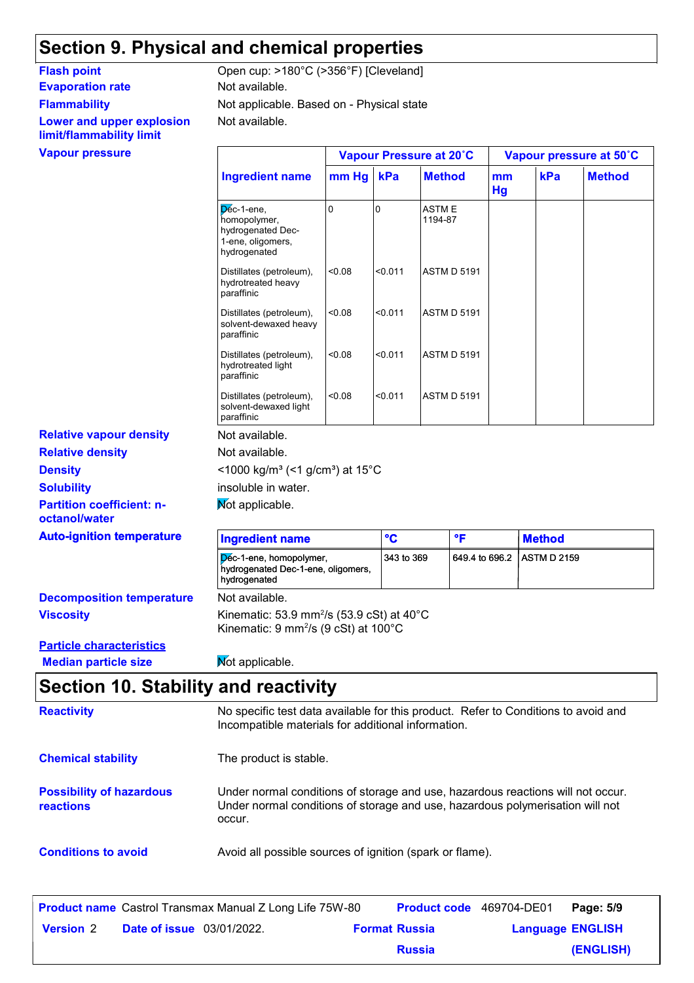### **Section 9. Physical and chemical properties**

**Evaporation rate** Not available. **Flammability Lower and upper explosion limit/flammability limit**

Not available. Not applicable. Based on - Physical state Flash point Open cup: >180°C (>356°F) [Cleveland]

|                                                                                      |        |                                                               |                                                                                                                                        | Vapour pressure at 50°C                                                                                                                                                                          |                    |               |
|--------------------------------------------------------------------------------------|--------|---------------------------------------------------------------|----------------------------------------------------------------------------------------------------------------------------------------|--------------------------------------------------------------------------------------------------------------------------------------------------------------------------------------------------|--------------------|---------------|
| <b>Ingredient name</b>                                                               |        | kPa                                                           | <b>Method</b>                                                                                                                          | mm<br>Hg                                                                                                                                                                                         | kPa                | <b>Method</b> |
| Dec-1-ene,<br>homopolymer,<br>hydrogenated Dec-<br>1-ene, oligomers,<br>hydrogenated | 0      | $\overline{0}$                                                | <b>ASTME</b><br>1194-87                                                                                                                |                                                                                                                                                                                                  |                    |               |
| Distillates (petroleum),<br>hydrotreated heavy<br>paraffinic                         | <0.08  | < 0.011                                                       |                                                                                                                                        |                                                                                                                                                                                                  |                    |               |
| Distillates (petroleum),<br>solvent-dewaxed heavy<br>paraffinic                      | < 0.08 | < 0.011                                                       |                                                                                                                                        |                                                                                                                                                                                                  |                    |               |
| Distillates (petroleum),<br>hydrotreated light<br>paraffinic                         | <0.08  | < 0.011                                                       |                                                                                                                                        |                                                                                                                                                                                                  |                    |               |
| Distillates (petroleum),<br>solvent-dewaxed light<br>paraffinic                      | <0.08  | < 0.011                                                       |                                                                                                                                        |                                                                                                                                                                                                  |                    |               |
| Not available.                                                                       |        |                                                               |                                                                                                                                        |                                                                                                                                                                                                  |                    |               |
| Not available.                                                                       |        |                                                               |                                                                                                                                        |                                                                                                                                                                                                  |                    |               |
|                                                                                      |        |                                                               |                                                                                                                                        |                                                                                                                                                                                                  |                    |               |
| insoluble in water.                                                                  |        |                                                               |                                                                                                                                        |                                                                                                                                                                                                  |                    |               |
| Mot applicable.                                                                      |        |                                                               |                                                                                                                                        |                                                                                                                                                                                                  |                    |               |
| <b>Ingredient name</b>                                                               |        | $\mathbf{C}$                                                  | $\mathsf{P}$                                                                                                                           |                                                                                                                                                                                                  | <b>Method</b>      |               |
| hydrogenated                                                                         |        |                                                               |                                                                                                                                        |                                                                                                                                                                                                  | <b>ASTM D 2159</b> |               |
| Not available.                                                                       |        |                                                               |                                                                                                                                        |                                                                                                                                                                                                  |                    |               |
|                                                                                      |        |                                                               |                                                                                                                                        |                                                                                                                                                                                                  |                    |               |
| Mot applicable.                                                                      |        |                                                               |                                                                                                                                        |                                                                                                                                                                                                  |                    |               |
|                                                                                      |        | Dec-1-ene, homopolymer,<br>hydrogenated Dec-1-ene, oligomers, | $mm$ Hg<br><1000 kg/m <sup>3</sup> (<1 g/cm <sup>3</sup> ) at 15°C<br>Kinematic: $9 \text{ mm}^2/\text{s}$ (9 cSt) at 100 $^{\circ}$ C | Vapour Pressure at 20°C<br><b>ASTM D 5191</b><br><b>ASTM D 5191</b><br><b>ASTM D 5191</b><br><b>ASTM D 5191</b><br>343 to 369<br>Kinematic: 53.9 mm <sup>2</sup> /s (53.9 cSt) at $40^{\circ}$ C | 649.4 to 696.2     |               |

### **Section 10. Stability and reactivity**

| <b>Reactivity</b>                            | No specific test data available for this product. Refer to Conditions to avoid and<br>Incompatible materials for additional information.                                   |
|----------------------------------------------|----------------------------------------------------------------------------------------------------------------------------------------------------------------------------|
| <b>Chemical stability</b>                    | The product is stable.                                                                                                                                                     |
| <b>Possibility of hazardous</b><br>reactions | Under normal conditions of storage and use, hazardous reactions will not occur.<br>Under normal conditions of storage and use, hazardous polymerisation will not<br>occur. |
| <b>Conditions to avoid</b>                   | Avoid all possible sources of ignition (spark or flame).                                                                                                                   |

|                  |                                  | <b>Product name</b> Castrol Transmax Manual Z Long Life 75W-80 | <b>Product code</b> 469704-DE01 |                         | Page: 5/9 |
|------------------|----------------------------------|----------------------------------------------------------------|---------------------------------|-------------------------|-----------|
| <b>Version 2</b> | <b>Date of issue</b> 03/01/2022. |                                                                | <b>Format Russia</b>            | <b>Language ENGLISH</b> |           |
|                  |                                  |                                                                | <b>Russia</b>                   |                         | (ENGLISH) |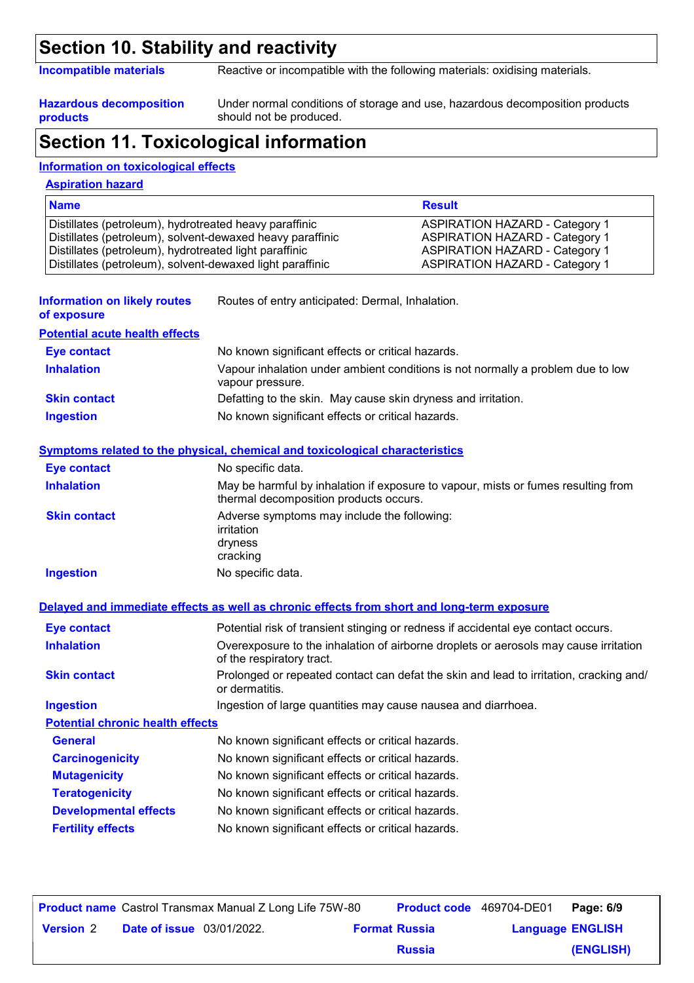#### **Section 10. Stability and reactivity**

**Incompatible materials** Reactive or incompatible with the following materials: oxidising materials.

**Hazardous decomposition products**

Under normal conditions of storage and use, hazardous decomposition products should not be produced.

### **Section 11. Toxicological information**

#### **Information on toxicological effects**

#### **Aspiration hazard**

| <b>Name</b>                                               | <b>Result</b>                         |
|-----------------------------------------------------------|---------------------------------------|
| Distillates (petroleum), hydrotreated heavy paraffinic    | <b>ASPIRATION HAZARD - Category 1</b> |
| Distillates (petroleum), solvent-dewaxed heavy paraffinic | <b>ASPIRATION HAZARD - Category 1</b> |
| Distillates (petroleum), hydrotreated light paraffinic    | <b>ASPIRATION HAZARD - Category 1</b> |
| Distillates (petroleum), solvent-dewaxed light paraffinic | <b>ASPIRATION HAZARD - Category 1</b> |

- **Information on likely routes of exposure** Routes of entry anticipated: Dermal, Inhalation. **Potential acute health effects Inhalation** Vapour inhalation under ambient conditions is not normally a problem due to low vapour pressure. **Skin contact** Defatting to the skin. May cause skin dryness and irritation. **Eye contact** No known significant effects or critical hazards.
- **Ingestion** No known significant effects or critical hazards.

#### **Symptoms related to the physical, chemical and toxicological characteristics**

| Eye contact         | No specific data.                                                                                                           |
|---------------------|-----------------------------------------------------------------------------------------------------------------------------|
| <b>Inhalation</b>   | May be harmful by inhalation if exposure to vapour, mists or fumes resulting from<br>thermal decomposition products occurs. |
| <b>Skin contact</b> | Adverse symptoms may include the following:<br>irritation<br>dryness<br>cracking                                            |
| <b>Ingestion</b>    | No specific data.                                                                                                           |

|                                         | Delayed and immediate effects as well as chronic effects from short and long-term exposure                        |
|-----------------------------------------|-------------------------------------------------------------------------------------------------------------------|
| <b>Eye contact</b>                      | Potential risk of transient stinging or redness if accidental eye contact occurs.                                 |
| <b>Inhalation</b>                       | Overexposure to the inhalation of airborne droplets or aerosols may cause irritation<br>of the respiratory tract. |
| <b>Skin contact</b>                     | Prolonged or repeated contact can defat the skin and lead to irritation, cracking and/<br>or dermatitis.          |
| <b>Ingestion</b>                        | Ingestion of large quantities may cause nausea and diarrhoea.                                                     |
| <b>Potential chronic health effects</b> |                                                                                                                   |
| <b>General</b>                          | No known significant effects or critical hazards.                                                                 |
| <b>Carcinogenicity</b>                  | No known significant effects or critical hazards.                                                                 |
| <b>Mutagenicity</b>                     | No known significant effects or critical hazards.                                                                 |
| <b>Teratogenicity</b>                   | No known significant effects or critical hazards.                                                                 |
| <b>Developmental effects</b>            | No known significant effects or critical hazards.                                                                 |
| <b>Fertility effects</b>                | No known significant effects or critical hazards.                                                                 |

|                  |                                  | <b>Product name</b> Castrol Transmax Manual Z Long Life 75W-80 | <b>Product code</b> 469704-DE01 |                         | Page: 6/9 |
|------------------|----------------------------------|----------------------------------------------------------------|---------------------------------|-------------------------|-----------|
| <b>Version 2</b> | <b>Date of issue</b> 03/01/2022. |                                                                | <b>Format Russia</b>            | <b>Language ENGLISH</b> |           |
|                  |                                  |                                                                | <b>Russia</b>                   |                         | (ENGLISH) |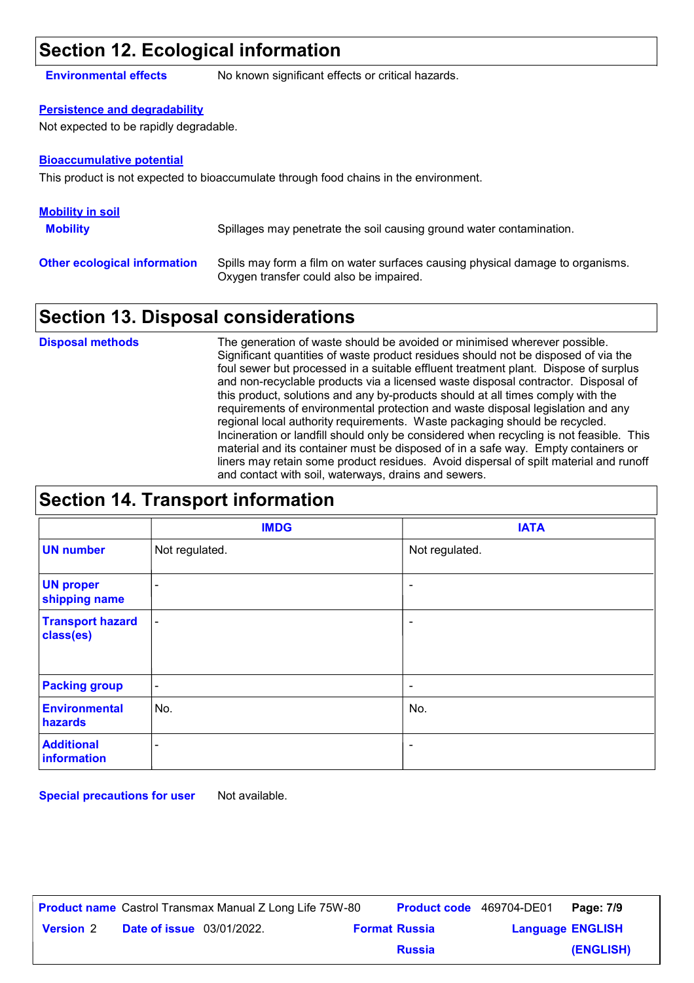#### **Section 12. Ecological information**

**Environmental effects** No known significant effects or critical hazards.

#### **Persistence and degradability**

Not expected to be rapidly degradable.

#### **Bioaccumulative potential**

This product is not expected to bioaccumulate through food chains in the environment.

| <b>Mobility in soil</b>             |                                                                                                                           |
|-------------------------------------|---------------------------------------------------------------------------------------------------------------------------|
| <b>Mobility</b>                     | Spillages may penetrate the soil causing ground water contamination.                                                      |
| <b>Other ecological information</b> | Spills may form a film on water surfaces causing physical damage to organisms.<br>Oxygen transfer could also be impaired. |

#### **Section 13. Disposal considerations**

The generation of waste should be avoided or minimised wherever possible. Significant quantities of waste product residues should not be disposed of via the foul sewer but processed in a suitable effluent treatment plant. Dispose of surplus and non-recyclable products via a licensed waste disposal contractor. Disposal of this product, solutions and any by-products should at all times comply with the requirements of environmental protection and waste disposal legislation and any regional local authority requirements. Waste packaging should be recycled. Incineration or landfill should only be considered when recycling is not feasible. This material and its container must be disposed of in a safe way. Empty containers or liners may retain some product residues. Avoid dispersal of spilt material and runoff and contact with soil, waterways, drains and sewers. **Disposal methods**

#### **Section 14. Transport information**

|                                      | <b>IMDG</b>    | <b>IATA</b>              |
|--------------------------------------|----------------|--------------------------|
| <b>UN number</b>                     | Not regulated. | Not regulated.           |
| <b>UN proper</b><br>shipping name    | $\blacksquare$ |                          |
| <b>Transport hazard</b><br>class(es) | $\blacksquare$ | ٠                        |
| <b>Packing group</b>                 | $\blacksquare$ | $\overline{\phantom{a}}$ |
| <b>Environmental</b><br>hazards      | No.            | No.                      |
| <b>Additional</b><br>information     | ۰              | ٠                        |

**Special precautions for user** Not available.

|                  |                                  | <b>Product name</b> Castrol Transmax Manual Z Long Life 75W-80 | Product code 469704-DE01 |                         | Page: 7/9 |
|------------------|----------------------------------|----------------------------------------------------------------|--------------------------|-------------------------|-----------|
| <b>Version</b> 2 | <b>Date of issue</b> 03/01/2022. |                                                                | <b>Format Russia</b>     | <b>Language ENGLISH</b> |           |
|                  |                                  |                                                                | <b>Russia</b>            |                         | (ENGLISH) |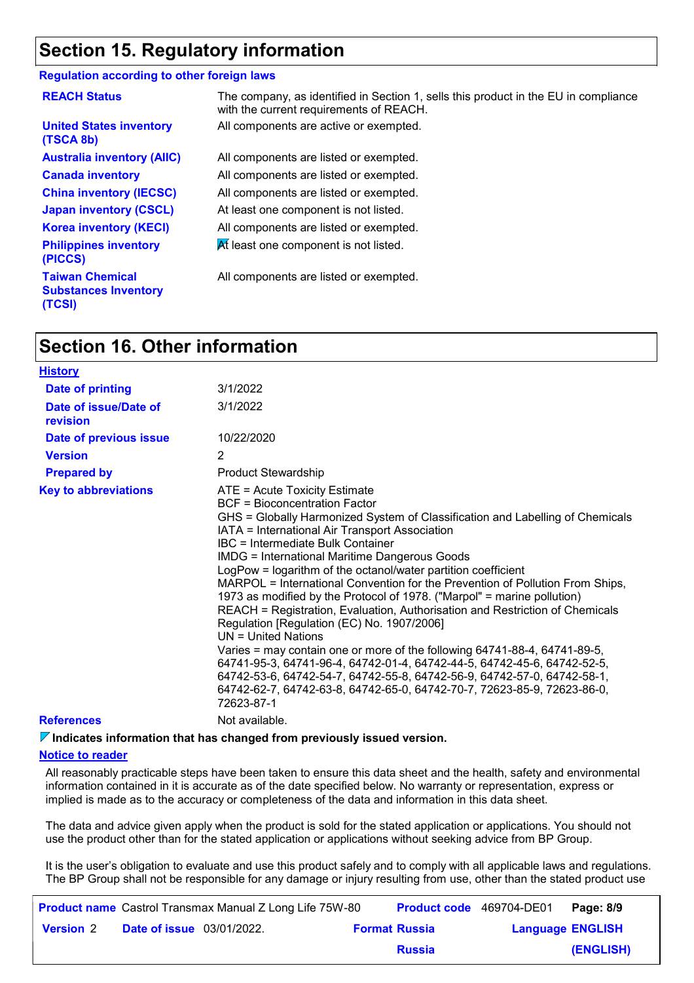### **Section 15. Regulatory information**

#### **Regulation according to other foreign laws**

| <b>REACH Status</b>                                             | The company, as identified in Section 1, sells this product in the EU in compliance<br>with the current requirements of REACH. |
|-----------------------------------------------------------------|--------------------------------------------------------------------------------------------------------------------------------|
| <b>United States inventory</b><br>(TSCA 8b)                     | All components are active or exempted.                                                                                         |
| <b>Australia inventory (AIIC)</b>                               | All components are listed or exempted.                                                                                         |
| <b>Canada inventory</b>                                         | All components are listed or exempted.                                                                                         |
| <b>China inventory (IECSC)</b>                                  | All components are listed or exempted.                                                                                         |
| <b>Japan inventory (CSCL)</b>                                   | At least one component is not listed.                                                                                          |
| <b>Korea inventory (KECI)</b>                                   | All components are listed or exempted.                                                                                         |
| <b>Philippines inventory</b><br>(PICCS)                         | At least one component is not listed.                                                                                          |
| <b>Taiwan Chemical</b><br><b>Substances Inventory</b><br>(TCSI) | All components are listed or exempted.                                                                                         |

#### **Section 16. Other information**

| <b>History</b>                    |                                                                                                                                                                                                                                                                                                                                                                                                                                                                                                                                                                                                                                                                                                                                                                                                                                                                                                                                                                                                                |
|-----------------------------------|----------------------------------------------------------------------------------------------------------------------------------------------------------------------------------------------------------------------------------------------------------------------------------------------------------------------------------------------------------------------------------------------------------------------------------------------------------------------------------------------------------------------------------------------------------------------------------------------------------------------------------------------------------------------------------------------------------------------------------------------------------------------------------------------------------------------------------------------------------------------------------------------------------------------------------------------------------------------------------------------------------------|
| Date of printing                  | 3/1/2022                                                                                                                                                                                                                                                                                                                                                                                                                                                                                                                                                                                                                                                                                                                                                                                                                                                                                                                                                                                                       |
| Date of issue/Date of<br>revision | 3/1/2022                                                                                                                                                                                                                                                                                                                                                                                                                                                                                                                                                                                                                                                                                                                                                                                                                                                                                                                                                                                                       |
| Date of previous issue            | 10/22/2020                                                                                                                                                                                                                                                                                                                                                                                                                                                                                                                                                                                                                                                                                                                                                                                                                                                                                                                                                                                                     |
| <b>Version</b>                    | 2                                                                                                                                                                                                                                                                                                                                                                                                                                                                                                                                                                                                                                                                                                                                                                                                                                                                                                                                                                                                              |
| <b>Prepared by</b>                | <b>Product Stewardship</b>                                                                                                                                                                                                                                                                                                                                                                                                                                                                                                                                                                                                                                                                                                                                                                                                                                                                                                                                                                                     |
| <b>Key to abbreviations</b>       | ATE = Acute Toxicity Estimate<br>BCF = Bioconcentration Factor<br>GHS = Globally Harmonized System of Classification and Labelling of Chemicals<br>IATA = International Air Transport Association<br>IBC = Intermediate Bulk Container<br><b>IMDG = International Maritime Dangerous Goods</b><br>LogPow = logarithm of the octanol/water partition coefficient<br>MARPOL = International Convention for the Prevention of Pollution From Ships,<br>1973 as modified by the Protocol of 1978. ("Marpol" = marine pollution)<br>REACH = Registration, Evaluation, Authorisation and Restriction of Chemicals<br>Regulation [Regulation (EC) No. 1907/2006]<br>$UN = United Nations$<br>Varies = may contain one or more of the following 64741-88-4, 64741-89-5,<br>64741-95-3, 64741-96-4, 64742-01-4, 64742-44-5, 64742-45-6, 64742-52-5,<br>64742-53-6, 64742-54-7, 64742-55-8, 64742-56-9, 64742-57-0, 64742-58-1,<br>64742-62-7, 64742-63-8, 64742-65-0, 64742-70-7, 72623-85-9, 72623-86-0,<br>72623-87-1 |
| <b>References</b>                 | Not available.                                                                                                                                                                                                                                                                                                                                                                                                                                                                                                                                                                                                                                                                                                                                                                                                                                                                                                                                                                                                 |
|                                   |                                                                                                                                                                                                                                                                                                                                                                                                                                                                                                                                                                                                                                                                                                                                                                                                                                                                                                                                                                                                                |

**Indicates information that has changed from previously issued version.**

#### **Notice to reader**

All reasonably practicable steps have been taken to ensure this data sheet and the health, safety and environmental information contained in it is accurate as of the date specified below. No warranty or representation, express or implied is made as to the accuracy or completeness of the data and information in this data sheet.

The data and advice given apply when the product is sold for the stated application or applications. You should not use the product other than for the stated application or applications without seeking advice from BP Group.

It is the user's obligation to evaluate and use this product safely and to comply with all applicable laws and regulations. The BP Group shall not be responsible for any damage or injury resulting from use, other than the stated product use

|                  |                                  | <b>Product name</b> Castrol Transmax Manual Z Long Life 75W-80 | <b>Product code</b> 469704-DE01 |                         | Page: 8/9 |
|------------------|----------------------------------|----------------------------------------------------------------|---------------------------------|-------------------------|-----------|
| <b>Version 2</b> | <b>Date of issue</b> 03/01/2022. |                                                                | <b>Format Russia</b>            | <b>Language ENGLISH</b> |           |
|                  |                                  |                                                                | <b>Russia</b>                   |                         | (ENGLISH) |